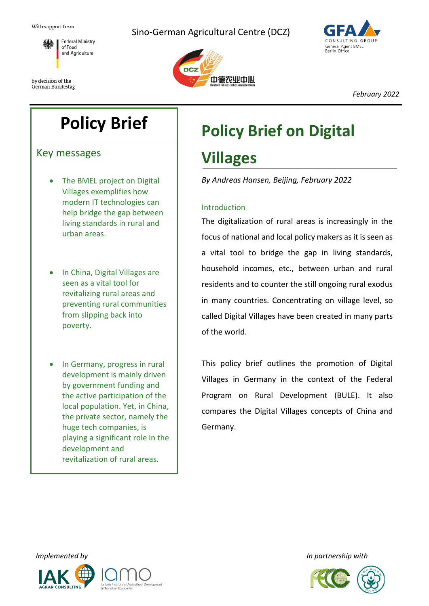

by decision of the German Bundestag Sino-German Agricultural Centre (DCZ)





*February 2022*

## **Policy Brief**

Key messages

- The BMEL project on Digital Villages exemplifies how modern IT technologies can help bridge the gap between living standards in rural and urban areas.
- In China, Digital Villages are seen as a vital tool for revitalizing rural areas and preventing rural communities from slipping back into poverty.
- In Germany, progress in rural development is mainly driven by government funding and the active participation of the local population. Yet, in China, the private sector, namely the huge tech companies, is playing a significant role in the development and revitalization of rural areas.

# **Policy Brief on Digital Villages**

*By Andreas Hansen, Beijing, February 2022*

#### Introduction

The digitalization of rural areas is increasingly in the focus of national and local policy makers as it is seen as a vital tool to bridge the gap in living standards, household incomes, etc., between urban and rural residents and to counter the still ongoing rural exodus in many countries. Concentrating on village level, so called Digital Villages have been created in many parts of the world.

This policy brief outlines the promotion of Digital Villages in Germany in the context of the Federal Program on Rural Development (BULE). It also compares the Digital Villages concepts of China and Germany.



*Implemented by In partnership with*

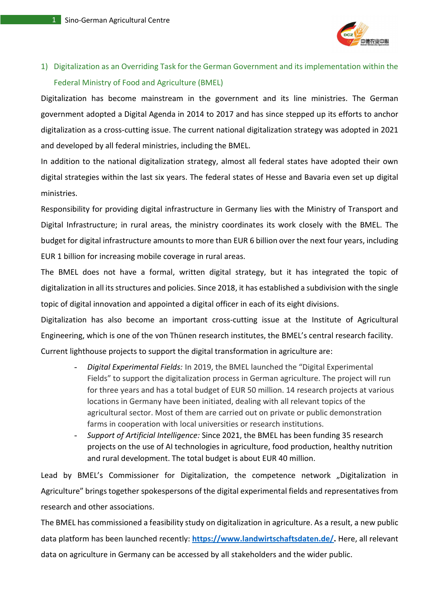

## 1) Digitalization as an Overriding Task for the German Government and its implementation within the Federal Ministry of Food and Agriculture (BMEL)

Digitalization has become mainstream in the government and its line ministries. The German government adopted a Digital Agenda in 2014 to 2017 and has since stepped up its efforts to anchor digitalization as a cross-cutting issue. The current national digitalization strategy was adopted in 2021 and developed by all federal ministries, including the BMEL.

In addition to the national digitalization strategy, almost all federal states have adopted their own digital strategies within the last six years. The federal states of Hesse and Bavaria even set up digital ministries.

Responsibility for providing digital infrastructure in Germany lies with the Ministry of Transport and Digital Infrastructure; in rural areas, the ministry coordinates its work closely with the BMEL. The budget for digital infrastructure amounts to more than EUR 6 billion over the next four years, including EUR 1 billion for increasing mobile coverage in rural areas.

The BMEL does not have a formal, written digital strategy, but it has integrated the topic of digitalization in all its structures and policies. Since 2018, it has established a subdivision with the single topic of digital innovation and appointed a digital officer in each of its eight divisions.

Digitalization has also become an important cross-cutting issue at the Institute of Agricultural Engineering, which is one of the von Thünen research institutes, the BMEL's central research facility. Current lighthouse projects to support the digital transformation in agriculture are:

- *Digital Experimental Fields:* In 2019, the BMEL launched the "Digital Experimental Fields" to support the digitalization process in German agriculture. The project will run for three years and has a total budget of EUR 50 million. 14 research projects at various locations in Germany have been initiated, dealing with all relevant topics of the agricultural sector. Most of them are carried out on private or public demonstration farms in cooperation with local universities or research institutions.
- *Support of Artificial Intelligence:* Since 2021, the BMEL has been funding 35 research projects on the use of AI technologies in agriculture, food production, healthy nutrition and rural development. The total budget is about EUR 40 million.

Lead by BMEL's Commissioner for Digitalization, the competence network "Digitalization in Agriculture" brings together spokespersons of the digital experimental fields and representatives from research and other associations.

The BMEL has commissioned a feasibility study on digitalization in agriculture. As a result, a new public data platform has been launched recently: **[https://www.landwirtschaftsdaten.de/.](https://www.landwirtschaftsdaten.de/)** Here, all relevant data on agriculture in Germany can be accessed by all stakeholders and the wider public.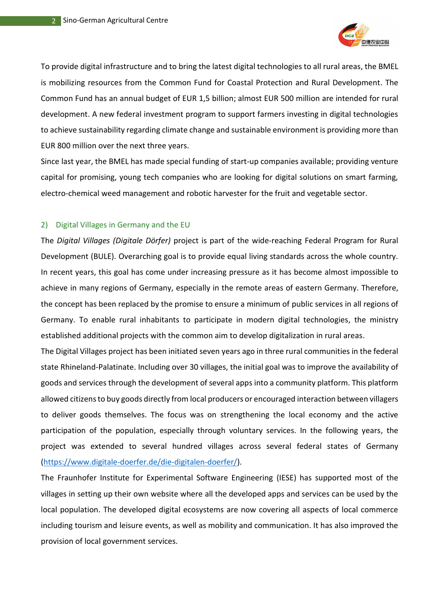

To provide digital infrastructure and to bring the latest digital technologies to all rural areas, the BMEL is mobilizing resources from the Common Fund for Coastal Protection and Rural Development. The Common Fund has an annual budget of EUR 1,5 billion; almost EUR 500 million are intended for rural development. A new federal investment program to support farmers investing in digital technologies to achieve sustainability regarding climate change and sustainable environment is providing more than EUR 800 million over the next three years.

Since last year, the BMEL has made special funding of start-up companies available; providing venture capital for promising, young tech companies who are looking for digital solutions on smart farming, electro-chemical weed management and robotic harvester for the fruit and vegetable sector.

#### 2) Digital Villages in Germany and the EU

The *Digital Villages (Digitale Dörfer)* project is part of the wide-reaching Federal Program for Rural Development (BULE). Overarching goal is to provide equal living standards across the whole country. In recent years, this goal has come under increasing pressure as it has become almost impossible to achieve in many regions of Germany, especially in the remote areas of eastern Germany. Therefore, the concept has been replaced by the promise to ensure a minimum of public services in all regions of Germany. To enable rural inhabitants to participate in modern digital technologies, the ministry established additional projects with the common aim to develop digitalization in rural areas.

The Digital Villages project has been initiated seven years ago in three rural communities in the federal state Rhineland-Palatinate. Including over 30 villages, the initial goal was to improve the availability of goods and services through the development of several apps into a community platform. This platform allowed citizens to buy goods directly from local producers or encouraged interaction between villagers to deliver goods themselves. The focus was on strengthening the local economy and the active participation of the population, especially through voluntary services. In the following years, the project was extended to several hundred villages across several federal states of Germany [\(https://www.digitale-doerfer.de/die-digitalen-doerfer/\)](https://www.digitale-doerfer.de/die-digitalen-doerfer/).

The Fraunhofer Institute for Experimental Software Engineering (IESE) has supported most of the villages in setting up their own website where all the developed apps and services can be used by the local population. The developed digital ecosystems are now covering all aspects of local commerce including tourism and leisure events, as well as mobility and communication. It has also improved the provision of local government services.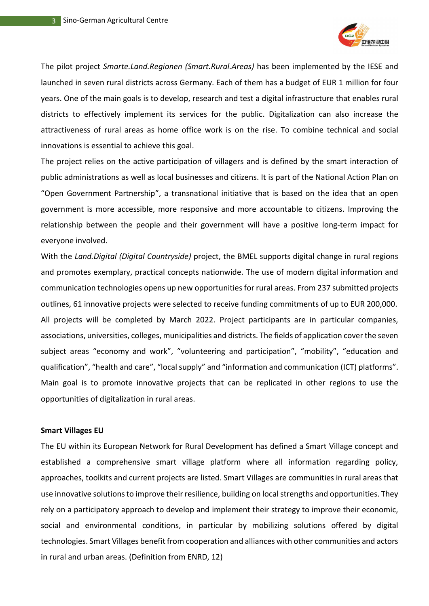

The pilot project *Smarte.Land.Regionen (Smart.Rural.Areas)* has been implemented by the IESE and launched in seven rural districts across Germany. Each of them has a budget of EUR 1 million for four years. One of the main goals is to develop, research and test a digital infrastructure that enables rural districts to effectively implement its services for the public. Digitalization can also increase the attractiveness of rural areas as home office work is on the rise. To combine technical and social innovations is essential to achieve this goal.

The project relies on the active participation of villagers and is defined by the smart interaction of public administrations as well as local businesses and citizens. It is part of the National Action Plan on "Open Government Partnership", a transnational initiative that is based on the idea that an open government is more accessible, more responsive and more accountable to citizens. Improving the relationship between the people and their government will have a positive long-term impact for everyone involved.

With the *Land.Digital (Digital Countryside)* project, the BMEL supports digital change in rural regions and promotes exemplary, practical concepts nationwide. The use of modern digital information and communication technologies opens up new opportunities for rural areas. From 237 submitted projects outlines, 61 innovative projects were selected to receive funding commitments of up to EUR 200,000. All projects will be completed by March 2022. Project participants are in particular companies, associations, universities, colleges, municipalities and districts. The fields of application cover the seven subiect areas "economy and work", "volunteering and participation", "mobility", "education and qualification", "health and care", "local supply" and "information and communication (ICT) platforms". Main goal is to promote innovative projects that can be replicated in other regions to use the opportunities of digitalization in rural areas.

#### **Smart Villages EU**

The EU within its European Network for Rural Development has defined a Smart Village concept and established a comprehensive smart village platform where all information regarding policy, approaches, toolkits and current projects are listed. Smart Villages are communities in rural areas that use innovative solutions to improve their resilience, building on local strengths and opportunities. They rely on a participatory approach to develop and implement their strategy to improve their economic, social and environmental conditions, in particular by mobilizing solutions offered by digital technologies. Smart Villages benefit from cooperation and alliances with other communities and actors in rural and urban areas. (Definition from ENRD, 12)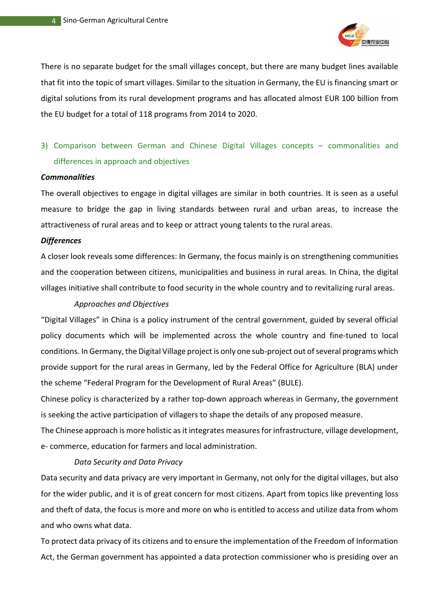

There is no separate budget for the small villages concept, but there are many budget lines available that fit into the topic of smart villages. Similar to the situation in Germany, the EU is financing smart or digital solutions from its rural development programs and has allocated almost EUR 100 billion from the EU budget for a total of 118 programs from 2014 to 2020.

### 3) Comparison between German and Chinese Digital Villages concepts – commonalities and differences in approach and objectives

#### *Commonalities*

The overall objectives to engage in digital villages are similar in both countries. It is seen as a useful measure to bridge the gap in living standards between rural and urban areas, to increase the attractiveness of rural areas and to keep or attract young talents to the rural areas.

#### *Differences*

A closer look reveals some differences: In Germany, the focus mainly is on strengthening communities and the cooperation between citizens, municipalities and business in rural areas. In China, the digital villages initiative shall contribute to food security in the whole country and to revitalizing rural areas.

#### *Approaches and Objectives*

"Digital Villages" in China is a policy instrument of the central government, guided by several official policy documents which will be implemented across the whole country and fine-tuned to local conditions. In Germany, the Digital Village project is only one sub-project out of several programs which provide support for the rural areas in Germany, led by the Federal Office for Agriculture (BLA) under the scheme "Federal Program for the Development of Rural Areas" (BULE).

Chinese policy is characterized by a rather top-down approach whereas in Germany, the government is seeking the active participation of villagers to shape the details of any proposed measure.

The Chinese approach is more holistic as it integrates measures for infrastructure, village development, e- commerce, education for farmers and local administration.

#### *Data Security and Data Privacy*

Data security and data privacy are very important in Germany, not only for the digital villages, but also for the wider public, and it is of great concern for most citizens. Apart from topics like preventing loss and theft of data, the focus is more and more on who is entitled to access and utilize data from whom and who owns what data.

To protect data privacy of its citizens and to ensure the implementation of the Freedom of Information Act, the German government has appointed a data protection commissioner who is presiding over an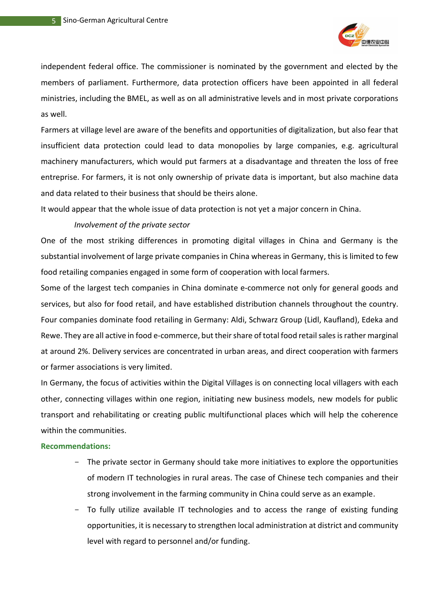

independent federal office. The commissioner is nominated by the government and elected by the members of parliament. Furthermore, data protection officers have been appointed in all federal ministries, including the BMEL, as well as on all administrative levels and in most private corporations as well.

Farmers at village level are aware of the benefits and opportunities of digitalization, but also fear that insufficient data protection could lead to data monopolies by large companies, e.g. agricultural machinery manufacturers, which would put farmers at a disadvantage and threaten the loss of free entreprise. For farmers, it is not only ownership of private data is important, but also machine data and data related to their business that should be theirs alone.

It would appear that the whole issue of data protection is not yet a major concern in China.

#### *Involvement of the private sector*

One of the most striking differences in promoting digital villages in China and Germany is the substantial involvement of large private companies in China whereas in Germany, this is limited to few food retailing companies engaged in some form of cooperation with local farmers.

Some of the largest tech companies in China dominate e-commerce not only for general goods and services, but also for food retail, and have established distribution channels throughout the country. Four companies dominate food retailing in Germany: Aldi, Schwarz Group (Lidl, Kaufland), Edeka and Rewe. They are all active in food e-commerce, but their share of total food retail sales is rather marginal at around 2%. Delivery services are concentrated in urban areas, and direct cooperation with farmers or farmer associations is very limited.

In Germany, the focus of activities within the Digital Villages is on connecting local villagers with each other, connecting villages within one region, initiating new business models, new models for public transport and rehabilitating or creating public multifunctional places which will help the coherence within the communities.

#### **Recommendations:**

- The private sector in Germany should take more initiatives to explore the opportunities of modern IT technologies in rural areas. The case of Chinese tech companies and their strong involvement in the farming community in China could serve as an example.
- To fully utilize available IT technologies and to access the range of existing funding opportunities, it is necessary to strengthen local administration at district and community level with regard to personnel and/or funding.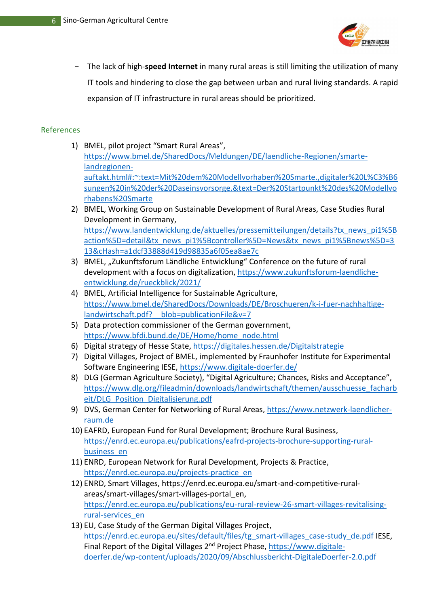

- The lack of high-**speed Internet** in many rural areas is still limiting the utilization of many IT tools and hindering to close the gap between urban and rural living standards. A rapid expansion of IT infrastructure in rural areas should be prioritized.

#### References

- 1) BMEL, pilot project "Smart Rural Areas", [https://www.bmel.de/SharedDocs/Meldungen/DE/laendliche-Regionen/smarte](https://www.bmel.de/SharedDocs/Meldungen/DE/laendliche-Regionen/smarte-landregionen-auftakt.html#:~:text=Mit%20dem%20Modellvorhaben%20Smarte.,digitaler%20L%C3%B6sungen%20in%20der%20Daseinsvorsorge.&text=Der%20Startpunkt%20des%20Modellvorhabens%20Smarte)[landregionen](https://www.bmel.de/SharedDocs/Meldungen/DE/laendliche-Regionen/smarte-landregionen-auftakt.html#:~:text=Mit%20dem%20Modellvorhaben%20Smarte.,digitaler%20L%C3%B6sungen%20in%20der%20Daseinsvorsorge.&text=Der%20Startpunkt%20des%20Modellvorhabens%20Smarte)[auftakt.html#:~:text=Mit%20dem%20Modellvorhaben%20Smarte.,digitaler%20L%C3%B6](https://www.bmel.de/SharedDocs/Meldungen/DE/laendliche-Regionen/smarte-landregionen-auftakt.html#:~:text=Mit%20dem%20Modellvorhaben%20Smarte.,digitaler%20L%C3%B6sungen%20in%20der%20Daseinsvorsorge.&text=Der%20Startpunkt%20des%20Modellvorhabens%20Smarte) [sungen%20in%20der%20Daseinsvorsorge.&text=Der%20Startpunkt%20des%20Modellvo](https://www.bmel.de/SharedDocs/Meldungen/DE/laendliche-Regionen/smarte-landregionen-auftakt.html#:~:text=Mit%20dem%20Modellvorhaben%20Smarte.,digitaler%20L%C3%B6sungen%20in%20der%20Daseinsvorsorge.&text=Der%20Startpunkt%20des%20Modellvorhabens%20Smarte) [rhabens%20Smarte](https://www.bmel.de/SharedDocs/Meldungen/DE/laendliche-Regionen/smarte-landregionen-auftakt.html#:~:text=Mit%20dem%20Modellvorhaben%20Smarte.,digitaler%20L%C3%B6sungen%20in%20der%20Daseinsvorsorge.&text=Der%20Startpunkt%20des%20Modellvorhabens%20Smarte)
- 2) BMEL, Working Group on Sustainable Development of Rural Areas, Case Studies Rural Development in Germany, [https://www.landentwicklung.de/aktuelles/pressemitteilungen/details?tx\\_news\\_pi1%5B](https://www.landentwicklung.de/aktuelles/pressemitteilungen/details?tx_news_pi1%5Baction%5D=detail&tx_news_pi1%5Bcontroller%5D=News&tx_news_pi1%5Bnews%5D=313&cHash=a1dcf33888d419d98835a6f05ea8ae7c) [action%5D=detail&tx\\_news\\_pi1%5Bcontroller%5D=News&tx\\_news\\_pi1%5Bnews%5D=3](https://www.landentwicklung.de/aktuelles/pressemitteilungen/details?tx_news_pi1%5Baction%5D=detail&tx_news_pi1%5Bcontroller%5D=News&tx_news_pi1%5Bnews%5D=313&cHash=a1dcf33888d419d98835a6f05ea8ae7c) [13&cHash=a1dcf33888d419d98835a6f05ea8ae7c](https://www.landentwicklung.de/aktuelles/pressemitteilungen/details?tx_news_pi1%5Baction%5D=detail&tx_news_pi1%5Bcontroller%5D=News&tx_news_pi1%5Bnews%5D=313&cHash=a1dcf33888d419d98835a6f05ea8ae7c)
- 3) BMEL, "Zukunftsforum Ländliche Entwicklung" Conference on the future of rural development with a focus on digitalization, [https://www.zukunftsforum-laendliche](https://www.zukunftsforum-laendliche-entwicklung.de/rueckblick/2021/)[entwicklung.de/rueckblick/2021/](https://www.zukunftsforum-laendliche-entwicklung.de/rueckblick/2021/)
- 4) BMEL, Artificial Intelligence for Sustainable Agriculture, [https://www.bmel.de/SharedDocs/Downloads/DE/Broschueren/k-i-fuer-nachhaltige](https://www.bmel.de/SharedDocs/Downloads/DE/Broschueren/k-i-fuer-nachhaltige-landwirtschaft.pdf?__blob=publicationFile&v=7)landwirtschaft.pdf? blob=publicationFile&v=7
- 5) Data protection commissioner of the German government, [https://www.bfdi.bund.de/DE/Home/home\\_node.html](https://www.bfdi.bund.de/DE/Home/home_node.html)
- 6) Digital strategy of Hesse State, <https://digitales.hessen.de/Digitalstrategie>
- 7) Digital Villages, Project of BMEL, implemented by Fraunhofer Institute for Experimental Software Engineering IESE,<https://www.digitale-doerfer.de/>
- 8) DLG (German Agriculture Society), "Digital Agriculture; Chances, Risks and Acceptance", [https://www.dlg.org/fileadmin/downloads/landwirtschaft/themen/ausschuesse\\_facharb](https://www.dlg.org/fileadmin/downloads/landwirtschaft/themen/ausschuesse_facharbeit/DLG_Position_Digitalisierung.pdf) [eit/DLG\\_Position\\_Digitalisierung.pdf](https://www.dlg.org/fileadmin/downloads/landwirtschaft/themen/ausschuesse_facharbeit/DLG_Position_Digitalisierung.pdf)
- 9) DVS, German Center for Networking of Rural Areas, [https://www.netzwerk-laendlicher](https://www.netzwerk-laendlicher-raum.de/)[raum.de](https://www.netzwerk-laendlicher-raum.de/)
- 10) EAFRD, European Fund for Rural Development; Brochure Rural Business, [https://enrd.ec.europa.eu/publications/eafrd-projects-brochure-supporting-rural](https://enrd.ec.europa.eu/publications/eafrd-projects-brochure-supporting-rural-business_en)[business\\_en](https://enrd.ec.europa.eu/publications/eafrd-projects-brochure-supporting-rural-business_en)
- 11) ENRD, European Network for Rural Development, Projects & Practice, [https://enrd.ec.europa.eu/projects-practice\\_en](https://enrd.ec.europa.eu/projects-practice_en)
- 12) ENRD, Smart Villages, https://enrd.ec.europa.eu/smart-and-competitive-ruralareas/smart-villages/smart-villages-portal\_en, [https://enrd.ec.europa.eu/publications/eu-rural-review-26-smart-villages-revitalising](https://enrd.ec.europa.eu/publications/eu-rural-review-26-smart-villages-revitalising-rural-services_en)[rural-services\\_en](https://enrd.ec.europa.eu/publications/eu-rural-review-26-smart-villages-revitalising-rural-services_en)
- 13) EU, Case Study of the German Digital Villages Project, [https://enrd.ec.europa.eu/sites/default/files/tg\\_smart-villages\\_case-study\\_de.pdf](https://enrd.ec.europa.eu/sites/default/files/tg_smart-villages_case-study_de.pdf) IESE, Final Report of the Digital Villages 2nd Project Phase, [https://www.digitale](https://www.digitale-doerfer.de/wp-content/uploads/2020/09/Abschlussbericht-DigitaleDoerfer-2.0.pdf)[doerfer.de/wp-content/uploads/2020/09/Abschlussbericht-DigitaleDoerfer-2.0.pdf](https://www.digitale-doerfer.de/wp-content/uploads/2020/09/Abschlussbericht-DigitaleDoerfer-2.0.pdf)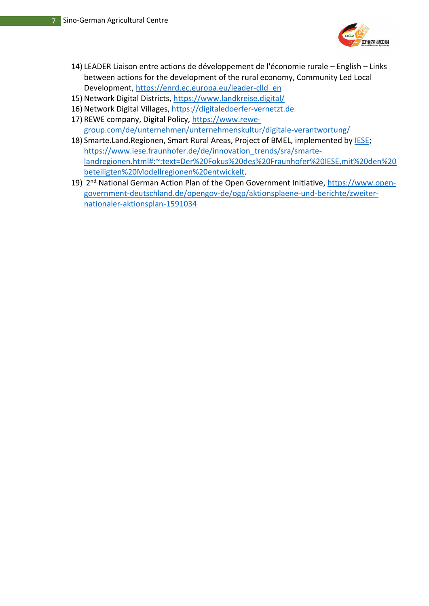

- 14) LEADER Liaison entre actions de développement de l'économie rurale English Links between actions for the development of the rural economy, Community Led Local Development, [https://enrd.ec.europa.eu/leader-clld\\_en](https://enrd.ec.europa.eu/leader-clld_en)
- 15) Network Digital Districts, <https://www.landkreise.digital/>
- 16) Network Digital Villages, [https://digitaledoerfer-vernetzt.de](https://digitaledoerfer-vernetzt.de/)
- 17) REWE company, Digital Policy, [https://www.rewe](https://www.rewe-group.com/de/unternehmen/unternehmenskultur/digitale-verantwortung/)[group.com/de/unternehmen/unternehmenskultur/digitale-verantwortung/](https://www.rewe-group.com/de/unternehmen/unternehmenskultur/digitale-verantwortung/)
- 18) Smarte.Land.Regionen, Smart Rural Areas, Project of BMEL, implemented by [IESE;](file:///C:/Users/penkova/AppData/Local/Microsoft/Windows/INetCache/Content.Outlook/88I33XWJ/IESE) [https://www.iese.fraunhofer.de/de/innovation\\_trends/sra/smarte](https://www.iese.fraunhofer.de/de/innovation_trends/sra/smarte-landregionen.html#:~:text=Der%20Fokus%20des%20Fraunhofer%20IESE,mit%20den%20beteiligten%20Modellregionen%20entwickelt)[landregionen.html#:~:text=Der%20Fokus%20des%20Fraunhofer%20IESE,mit%20den%20](https://www.iese.fraunhofer.de/de/innovation_trends/sra/smarte-landregionen.html#:~:text=Der%20Fokus%20des%20Fraunhofer%20IESE,mit%20den%20beteiligten%20Modellregionen%20entwickelt) [beteiligten%20Modellregionen%20entwickelt.](https://www.iese.fraunhofer.de/de/innovation_trends/sra/smarte-landregionen.html#:~:text=Der%20Fokus%20des%20Fraunhofer%20IESE,mit%20den%20beteiligten%20Modellregionen%20entwickelt)
- 19) 2<sup>nd</sup> National German Action Plan of the Open Government Initiative, [https://www.open](https://www.open-government-deutschland.de/opengov-de/ogp/aktionsplaene-und-berichte/zweiter-nationaler-aktionsplan-1591034)[government-deutschland.de/opengov-de/ogp/aktionsplaene-und-berichte/zweiter](https://www.open-government-deutschland.de/opengov-de/ogp/aktionsplaene-und-berichte/zweiter-nationaler-aktionsplan-1591034)[nationaler-aktionsplan-1591034](https://www.open-government-deutschland.de/opengov-de/ogp/aktionsplaene-und-berichte/zweiter-nationaler-aktionsplan-1591034)